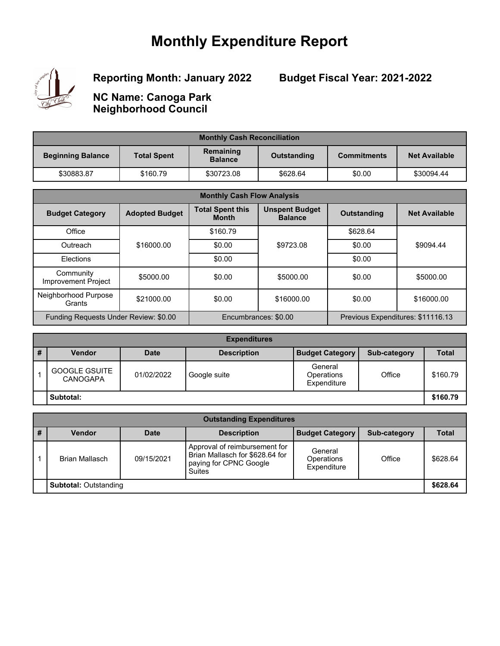## **Monthly Expenditure Report**



**Reporting Month: January 2022**

**Budget Fiscal Year: 2021-2022**

**NC Name: Canoga Park Neighborhood Council**

| <b>Monthly Cash Reconciliation</b> |                    |                             |             |                    |                      |
|------------------------------------|--------------------|-----------------------------|-------------|--------------------|----------------------|
| <b>Beginning Balance</b>           | <b>Total Spent</b> | Remaining<br><b>Balance</b> | Outstanding | <b>Commitments</b> | <b>Net Available</b> |
| \$30883.87                         | \$160.79           | \$30723.08                  | \$628.64    | \$0.00             | \$30094.44           |

| <b>Monthly Cash Flow Analysis</b>     |                       |                                         |                                         |                    |                                   |
|---------------------------------------|-----------------------|-----------------------------------------|-----------------------------------------|--------------------|-----------------------------------|
| <b>Budget Category</b>                | <b>Adopted Budget</b> | <b>Total Spent this</b><br><b>Month</b> | <b>Unspent Budget</b><br><b>Balance</b> | <b>Outstanding</b> | <b>Net Available</b>              |
| Office                                |                       | \$160.79                                |                                         | \$628.64           |                                   |
| Outreach                              | \$16000.00            | \$0.00                                  | \$9723.08                               | \$0.00             | \$9094.44                         |
| <b>Flections</b>                      |                       | \$0.00                                  |                                         | \$0.00             |                                   |
| Community<br>Improvement Project      | \$5000.00             | \$0.00                                  | \$5000.00                               | \$0.00             | \$5000.00                         |
| Neighborhood Purpose<br>Grants        | \$21000.00            | \$0.00                                  | \$16000.00                              | \$0.00             | \$16000.00                        |
| Funding Requests Under Review: \$0.00 |                       |                                         | Encumbrances: \$0.00                    |                    | Previous Expenditures: \$11116.13 |

| <b>Expenditures</b> |                                         |             |                    |                                      |              |              |
|---------------------|-----------------------------------------|-------------|--------------------|--------------------------------------|--------------|--------------|
| ш<br>#              | <b>Vendor</b>                           | <b>Date</b> | <b>Description</b> | <b>Budget Category</b>               | Sub-category | <b>Total</b> |
|                     | <b>GOOGLE GSUITE</b><br><b>CANOGAPA</b> | 01/02/2022  | Google suite       | General<br>Operations<br>Expenditure | Office       | \$160.79     |
| Subtotal:           |                                         |             |                    |                                      | \$160.79     |              |

| <b>Outstanding Expenditures</b> |                |             |                                                                                                             |                                             |              |          |  |
|---------------------------------|----------------|-------------|-------------------------------------------------------------------------------------------------------------|---------------------------------------------|--------------|----------|--|
|                                 | <b>Vendor</b>  | <b>Date</b> | <b>Description</b>                                                                                          | <b>Budget Category</b>                      | Sub-category | Total    |  |
|                                 | Brian Mallasch | 09/15/2021  | Approval of reimbursement for<br>Brian Mallasch for \$628.64 for<br>paying for CPNC Google<br><b>Suites</b> | General<br><b>Operations</b><br>Expenditure | Office       | \$628.64 |  |
| <b>Subtotal: Outstanding</b>    |                |             |                                                                                                             |                                             | \$628.64     |          |  |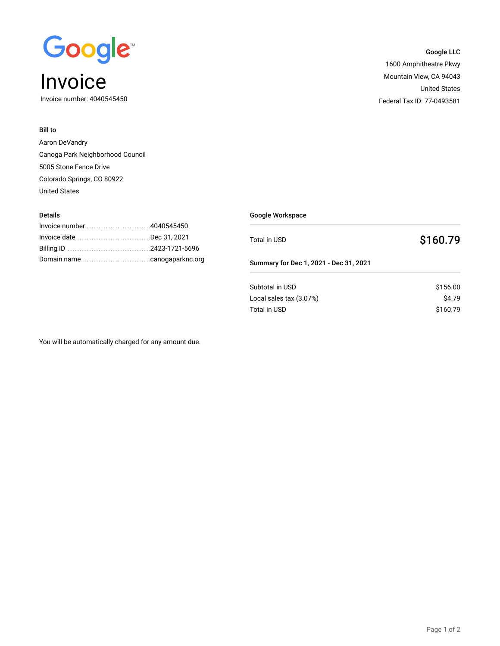

Invoice number: 4040545450

### Bill to

Details

Aaron DeVandry Canoga Park Neighborhood Council 5005 Stone Fence Drive Colorado Springs, CO 80922 United States

Google Workspace Total in USD **\$160.79** Summary for Dec 1, 2021 - Dec 31, 2021 Subtotal in USD \$156.00  $Local sales tax (3.07%)$  \$4.79 Total in USD \$160.79

You will be automatically charged for any amount due.

.............................................................. Invoice number 4040545450 Invoice date ...................................Dec 31, 2021 .............................................................. Billing ID 2423-1721-5696 Domain name change canonical canogaparknc.org

## Google LLC 1600 Amphitheatre Pkwy Mountain View, CA 94043 United States

Federal Tax ID: 77-0493581